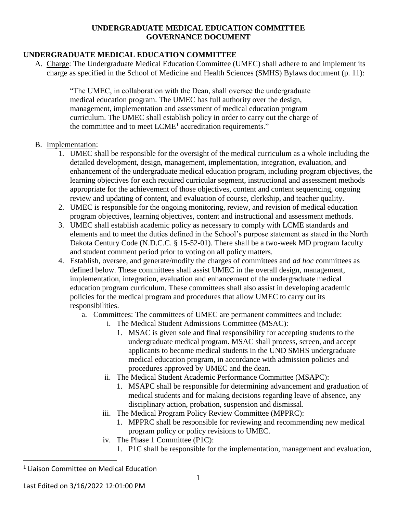#### **UNDERGRADUATE MEDICAL EDUCATION COMMITTEE GOVERNANCE DOCUMENT**

### **UNDERGRADUATE MEDICAL EDUCATION COMMITTEE**

A. Charge: The Undergraduate Medical Education Committee (UMEC) shall adhere to and implement its charge as specified in the School of Medicine and Health Sciences (SMHS) Bylaws document (p. 11):

> "The UMEC, in collaboration with the Dean, shall oversee the undergraduate medical education program. The UMEC has full authority over the design, management, implementation and assessment of medical education program curriculum. The UMEC shall establish policy in order to carry out the charge of the committee and to meet  $LCME<sup>1</sup>$  accreditation requirements."

#### B. Implementation:

- 1. UMEC shall be responsible for the oversight of the medical curriculum as a whole including the detailed development, design, management, implementation, integration, evaluation, and enhancement of the undergraduate medical education program, including program objectives, the learning objectives for each required curricular segment, instructional and assessment methods appropriate for the achievement of those objectives, content and content sequencing, ongoing review and updating of content, and evaluation of course, clerkship, and teacher quality.
- 2. UMEC is responsible for the ongoing monitoring, review, and revision of medical education program objectives, learning objectives, content and instructional and assessment methods.
- 3. UMEC shall establish academic policy as necessary to comply with LCME standards and elements and to meet the duties defined in the School's purpose statement as stated in the North Dakota Century Code (N.D.C.C. § 15-52-01). There shall be a two-week MD program faculty and student comment period prior to voting on all policy matters.
- 4. Establish, oversee, and generate/modify the charges of committees and *ad hoc* committees as defined below. These committees shall assist UMEC in the overall design, management, implementation, integration, evaluation and enhancement of the undergraduate medical education program curriculum. These committees shall also assist in developing academic policies for the medical program and procedures that allow UMEC to carry out its responsibilities.
	- a. Committees: The committees of UMEC are permanent committees and include:
		- i. The Medical Student Admissions Committee (MSAC):
			- 1. MSAC is given sole and final responsibility for accepting students to the undergraduate medical program. MSAC shall process, screen, and accept applicants to become medical students in the UND SMHS undergraduate medical education program, in accordance with admission policies and procedures approved by UMEC and the dean.
		- ii. The Medical Student Academic Performance Committee (MSAPC):
			- 1. MSAPC shall be responsible for determining advancement and graduation of medical students and for making decisions regarding leave of absence, any disciplinary action, probation, suspension and dismissal.
		- iii. The Medical Program Policy Review Committee (MPPRC):
			- 1. MPPRC shall be responsible for reviewing and recommending new medical program policy or policy revisions to UMEC.
		- iv. The Phase 1 Committee (P1C):
			- 1. P1C shall be responsible for the implementation, management and evaluation,

 $\overline{a}$ 

<sup>1</sup> Liaison Committee on Medical Education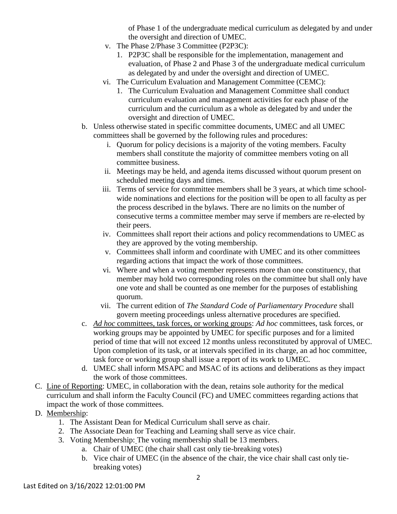of Phase 1 of the undergraduate medical curriculum as delegated by and under the oversight and direction of UMEC.

- v. The Phase 2/Phase 3 Committee (P2P3C):
	- 1. P2P3C shall be responsible for the implementation, management and evaluation, of Phase 2 and Phase 3 of the undergraduate medical curriculum as delegated by and under the oversight and direction of UMEC.
- vi. The Curriculum Evaluation and Management Committee (CEMC):
	- 1. The Curriculum Evaluation and Management Committee shall conduct curriculum evaluation and management activities for each phase of the curriculum and the curriculum as a whole as delegated by and under the oversight and direction of UMEC.
- b. Unless otherwise stated in specific committee documents, UMEC and all UMEC committees shall be governed by the following rules and procedures:
	- i. Quorum for policy decisions is a majority of the voting members. Faculty members shall constitute the majority of committee members voting on all committee business.
	- ii. Meetings may be held, and agenda items discussed without quorum present on scheduled meeting days and times.
	- iii. Terms of service for committee members shall be 3 years, at which time schoolwide nominations and elections for the position will be open to all faculty as per the process described in the bylaws. There are no limits on the number of consecutive terms a committee member may serve if members are re-elected by their peers.
	- iv. Committees shall report their actions and policy recommendations to UMEC as they are approved by the voting membership.
	- v. Committees shall inform and coordinate with UMEC and its other committees regarding actions that impact the work of those committees.
	- vi. Where and when a voting member represents more than one constituency, that member may hold two corresponding roles on the committee but shall only have one vote and shall be counted as one member for the purposes of establishing quorum.
	- vii. The current edition of *The Standard Code of Parliamentary Procedure* shall govern meeting proceedings unless alternative procedures are specified.
- c. *Ad hoc* committees, task forces, or working groups: *Ad hoc* committees, task forces, or working groups may be appointed by UMEC for specific purposes and for a limited period of time that will not exceed 12 months unless reconstituted by approval of UMEC. Upon completion of its task, or at intervals specified in its charge, an ad hoc committee, task force or working group shall issue a report of its work to UMEC.
- d. UMEC shall inform MSAPC and MSAC of its actions and deliberations as they impact the work of those committees.
- C. Line of Reporting: UMEC, in collaboration with the dean, retains sole authority for the medical curriculum and shall inform the Faculty Council (FC) and UMEC committees regarding actions that impact the work of those committees.
- D. Membership:
	- 1. The Assistant Dean for Medical Curriculum shall serve as chair.
	- 2. The Associate Dean for Teaching and Learning shall serve as vice chair.
	- 3. Voting Membership: The voting membership shall be 13 members.
		- a. Chair of UMEC (the chair shall cast only tie-breaking votes)
		- b. Vice chair of UMEC (in the absence of the chair, the vice chair shall cast only tiebreaking votes)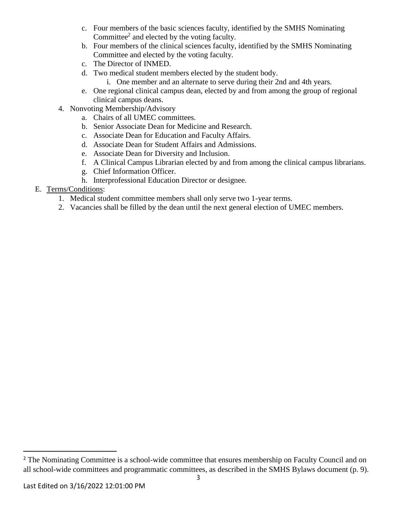- c. Four members of the basic sciences faculty, identified by the SMHS Nominating Committee<sup>2</sup> and elected by the voting faculty.
- b. Four members of the clinical sciences faculty, identified by the SMHS Nominating Committee and elected by the voting faculty.
- c. The Director of INMED.
- d. Two medical student members elected by the student body.
	- i. One member and an alternate to serve during their 2nd and 4th years.
- e. One regional clinical campus dean, elected by and from among the group of regional clinical campus deans.
- 4. Nonvoting Membership/Advisory
	- a. Chairs of all UMEC committees.
	- b. Senior Associate Dean for Medicine and Research.
	- c. Associate Dean for Education and Faculty Affairs.
	- d. Associate Dean for Student Affairs and Admissions.
	- e. Associate Dean for Diversity and Inclusion.
	- f. A Clinical Campus Librarian elected by and from among the clinical campus librarians.
	- g. Chief Information Officer.
	- h. Interprofessional Education Director or designee.

### E. Terms/Conditions:

- 1. Medical student committee members shall only serve two 1-year terms.
- 2. Vacancies shall be filled by the dean until the next general election of UMEC members.

 $\overline{a}$ 

<sup>&</sup>lt;sup>2</sup> The Nominating Committee is a school-wide committee that ensures membership on Faculty Council and on all school-wide committees and programmatic committees, as described in the SMHS Bylaws document (p. 9).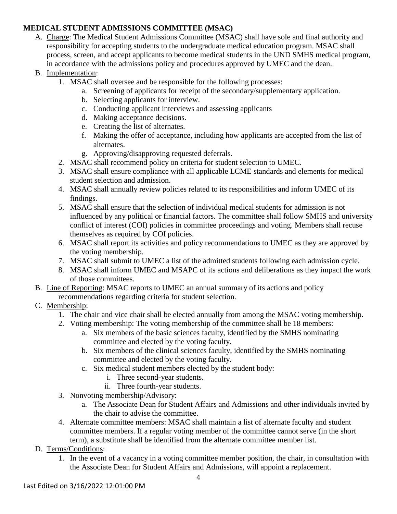# **MEDICAL STUDENT ADMISSIONS COMMITTEE (MSAC)**

- A. Charge: The Medical Student Admissions Committee (MSAC) shall have sole and final authority and responsibility for accepting students to the undergraduate medical education program. MSAC shall process, screen, and accept applicants to become medical students in the UND SMHS medical program, in accordance with the admissions policy and procedures approved by UMEC and the dean.
- B. Implementation:
	- 1. MSAC shall oversee and be responsible for the following processes:
		- a. Screening of applicants for receipt of the secondary/supplementary application.
		- b. Selecting applicants for interview.
		- c. Conducting applicant interviews and assessing applicants
		- d. Making acceptance decisions.
		- e. Creating the list of alternates.
		- f. Making the offer of acceptance, including how applicants are accepted from the list of alternates.
		- g. Approving/disapproving requested deferrals.
	- 2. MSAC shall recommend policy on criteria for student selection to UMEC.
	- 3. MSAC shall ensure compliance with all applicable LCME standards and elements for medical student selection and admission.
	- 4. MSAC shall annually review policies related to its responsibilities and inform UMEC of its findings.
	- 5. MSAC shall ensure that the selection of individual medical students for admission is not influenced by any political or financial factors. The committee shall follow SMHS and university conflict of interest (COI) policies in committee proceedings and voting. Members shall recuse themselves as required by COI policies.
	- 6. MSAC shall report its activities and policy recommendations to UMEC as they are approved by the voting membership.
	- 7. MSAC shall submit to UMEC a list of the admitted students following each admission cycle.
	- 8. MSAC shall inform UMEC and MSAPC of its actions and deliberations as they impact the work of those committees.
- B. Line of Reporting: MSAC reports to UMEC an annual summary of its actions and policy recommendations regarding criteria for student selection.
- C. Membership:
	- 1. The chair and vice chair shall be elected annually from among the MSAC voting membership.
	- 2. Voting membership: The voting membership of the committee shall be 18 members:
		- a. Six members of the basic sciences faculty, identified by the SMHS nominating committee and elected by the voting faculty.
		- b. Six members of the clinical sciences faculty, identified by the SMHS nominating committee and elected by the voting faculty.
		- c. Six medical student members elected by the student body:
			- i. Three second-year students.
			- ii. Three fourth-year students.
	- 3. Nonvoting membership/Advisory:
		- a. The Associate Dean for Student Affairs and Admissions and other individuals invited by the chair to advise the committee.
	- 4. Alternate committee members: MSAC shall maintain a list of alternate faculty and student committee members. If a regular voting member of the committee cannot serve (in the short term), a substitute shall be identified from the alternate committee member list.
- D. Terms/Conditions:
	- 1. In the event of a vacancy in a voting committee member position, the chair, in consultation with the Associate Dean for Student Affairs and Admissions, will appoint a replacement.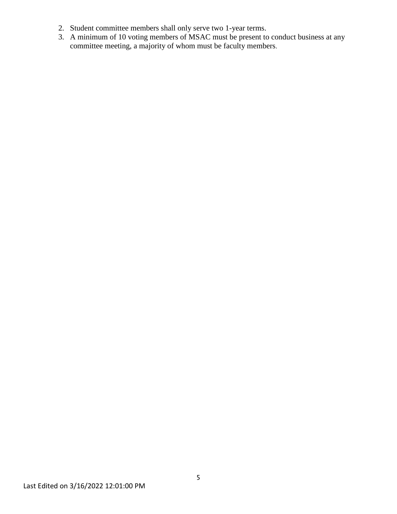- 2. Student committee members shall only serve two 1-year terms.
- 3. A minimum of 10 voting members of MSAC must be present to conduct business at any committee meeting, a majority of whom must be faculty members.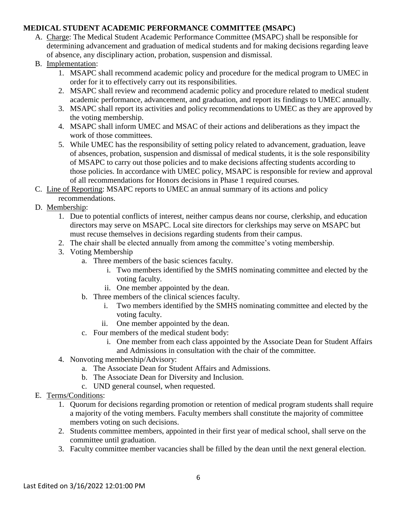### **MEDICAL STUDENT ACADEMIC PERFORMANCE COMMITTEE (MSAPC)**

- A. Charge: The Medical Student Academic Performance Committee (MSAPC) shall be responsible for determining advancement and graduation of medical students and for making decisions regarding leave of absence, any disciplinary action, probation, suspension and dismissal.
- B. Implementation:
	- 1. MSAPC shall recommend academic policy and procedure for the medical program to UMEC in order for it to effectively carry out its responsibilities.
	- 2. MSAPC shall review and recommend academic policy and procedure related to medical student academic performance, advancement, and graduation, and report its findings to UMEC annually.
	- 3. MSAPC shall report its activities and policy recommendations to UMEC as they are approved by the voting membership.
	- 4. MSAPC shall inform UMEC and MSAC of their actions and deliberations as they impact the work of those committees.
	- 5. While UMEC has the responsibility of setting policy related to advancement, graduation, leave of absences, probation, suspension and dismissal of medical students, it is the sole responsibility of MSAPC to carry out those policies and to make decisions affecting students according to those policies. In accordance with UMEC policy, MSAPC is responsible for review and approval of all recommendations for Honors decisions in Phase 1 required courses.
- C. Line of Reporting: MSAPC reports to UMEC an annual summary of its actions and policy recommendations.
- D. Membership:
	- 1. Due to potential conflicts of interest, neither campus deans nor course, clerkship, and education directors may serve on MSAPC. Local site directors for clerkships may serve on MSAPC but must recuse themselves in decisions regarding students from their campus.
	- 2. The chair shall be elected annually from among the committee's voting membership.
	- 3. Voting Membership
		- a. Three members of the basic sciences faculty.
			- i. Two members identified by the SMHS nominating committee and elected by the voting faculty.
			- ii. One member appointed by the dean.
		- b. Three members of the clinical sciences faculty.
			- i. Two members identified by the SMHS nominating committee and elected by the voting faculty.
			- ii. One member appointed by the dean.
		- c. Four members of the medical student body:
			- i. One member from each class appointed by the Associate Dean for Student Affairs and Admissions in consultation with the chair of the committee.
	- 4. Nonvoting membership/Advisory:
		- a. The Associate Dean for Student Affairs and Admissions.
		- b. The Associate Dean for Diversity and Inclusion.
		- c. UND general counsel, when requested.
- E. Terms/Conditions:
	- 1. Quorum for decisions regarding promotion or retention of medical program students shall require a majority of the voting members. Faculty members shall constitute the majority of committee members voting on such decisions.
	- 2. Students committee members, appointed in their first year of medical school, shall serve on the committee until graduation.
	- 3. Faculty committee member vacancies shall be filled by the dean until the next general election.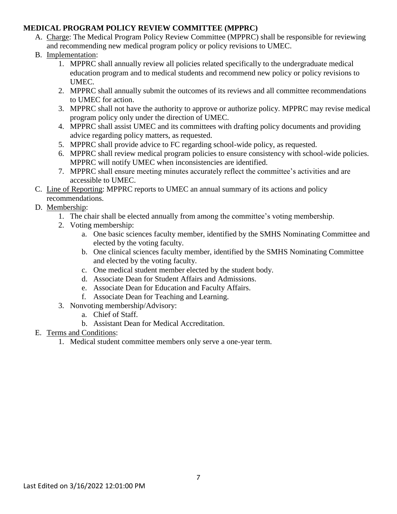### **MEDICAL PROGRAM POLICY REVIEW COMMITTEE (MPPRC)**

- A. Charge: The Medical Program Policy Review Committee (MPPRC) shall be responsible for reviewing and recommending new medical program policy or policy revisions to UMEC.
- B. Implementation:
	- 1. MPPRC shall annually review all policies related specifically to the undergraduate medical education program and to medical students and recommend new policy or policy revisions to UMEC.
	- 2. MPPRC shall annually submit the outcomes of its reviews and all committee recommendations to UMEC for action.
	- 3. MPPRC shall not have the authority to approve or authorize policy. MPPRC may revise medical program policy only under the direction of UMEC.
	- 4. MPPRC shall assist UMEC and its committees with drafting policy documents and providing advice regarding policy matters, as requested.
	- 5. MPPRC shall provide advice to FC regarding school-wide policy, as requested.
	- 6. MPPRC shall review medical program policies to ensure consistency with school-wide policies. MPPRC will notify UMEC when inconsistencies are identified.
	- 7. MPPRC shall ensure meeting minutes accurately reflect the committee's activities and are accessible to UMEC.
- C. Line of Reporting: MPPRC reports to UMEC an annual summary of its actions and policy recommendations.
- D. Membership:
	- 1. The chair shall be elected annually from among the committee's voting membership.
	- 2. Voting membership:
		- a. One basic sciences faculty member, identified by the SMHS Nominating Committee and elected by the voting faculty.
		- b. One clinical sciences faculty member, identified by the SMHS Nominating Committee and elected by the voting faculty.
		- c. One medical student member elected by the student body.
		- d. Associate Dean for Student Affairs and Admissions.
		- e. Associate Dean for Education and Faculty Affairs.
		- f. Associate Dean for Teaching and Learning.
	- 3. Nonvoting membership/Advisory:
		- a. Chief of Staff.
		- b. Assistant Dean for Medical Accreditation.
- E. Terms and Conditions:
	- 1. Medical student committee members only serve a one-year term.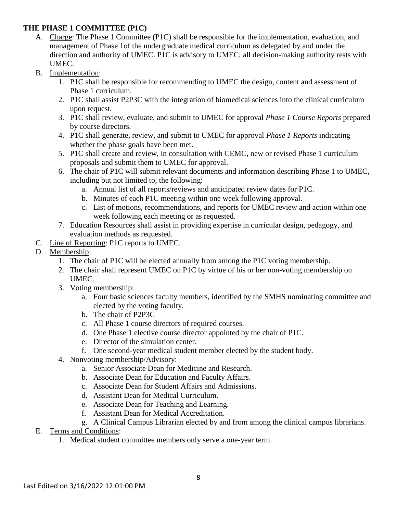### **THE PHASE 1 COMMITTEE (P1C)**

- A. Charge: The Phase 1 Committee (P1C) shall be responsible for the implementation, evaluation, and management of Phase 1of the undergraduate medical curriculum as delegated by and under the direction and authority of UMEC. P1C is advisory to UMEC; all decision-making authority rests with UMEC.
- B. Implementation:
	- 1. P1C shall be responsible for recommending to UMEC the design, content and assessment of Phase 1 curriculum.
	- 2. P1C shall assist P2P3C with the integration of biomedical sciences into the clinical curriculum upon request.
	- 3. P1C shall review, evaluate, and submit to UMEC for approval *Phase 1 Course Reports* prepared by course directors.
	- 4. P1C shall generate, review, and submit to UMEC for approval *Phase 1 Reports* indicating whether the phase goals have been met.
	- 5. P1C shall create and review, in consultation with CEMC, new or revised Phase 1 curriculum proposals and submit them to UMEC for approval.
	- 6. The chair of P1C will submit relevant documents and information describing Phase 1 to UMEC, including but not limited to, the following:
		- a. Annual list of all reports/reviews and anticipated review dates for P1C.
		- b. Minutes of each P1C meeting within one week following approval.
		- c. List of motions, recommendations, and reports for UMEC review and action within one week following each meeting or as requested.
	- 7. Education Resources shall assist in providing expertise in curricular design, pedagogy, and evaluation methods as requested.
- C. Line of Reporting: P1C reports to UMEC.
- D. Membership:
	- 1. The chair of P1C will be elected annually from among the P1C voting membership.
	- 2. The chair shall represent UMEC on P1C by virtue of his or her non-voting membership on UMEC.
	- 3. Voting membership:
		- a. Four basic sciences faculty members, identified by the SMHS nominating committee and elected by the voting faculty.
		- b. The chair of P2P3C
		- c. All Phase 1 course directors of required courses.
		- d. One Phase 1 elective course director appointed by the chair of P1C.
		- e. Director of the simulation center.
		- f. One second-year medical student member elected by the student body.
	- 4. Nonvoting membership/Advisory:
		- a. Senior Associate Dean for Medicine and Research.
		- b. Associate Dean for Education and Faculty Affairs.
		- c. Associate Dean for Student Affairs and Admissions.
		- d. Assistant Dean for Medical Curriculum.
		- e. Associate Dean for Teaching and Learning.
		- f. Assistant Dean for Medical Accreditation.
		- g. A Clinical Campus Librarian elected by and from among the clinical campus librarians.
- E. Terms and Conditions:
	- 1. Medical student committee members only serve a one-year term.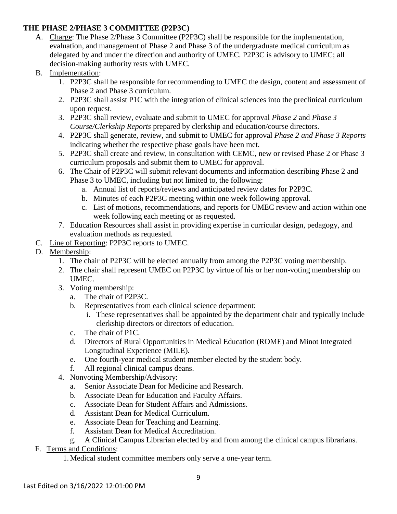### **THE PHASE 2/PHASE 3 COMMITTEE (P2P3C)**

- A. Charge: The Phase 2/Phase 3 Committee (P2P3C) shall be responsible for the implementation, evaluation, and management of Phase 2 and Phase 3 of the undergraduate medical curriculum as delegated by and under the direction and authority of UMEC. P2P3C is advisory to UMEC; all decision-making authority rests with UMEC.
- B. Implementation:
	- 1. P2P3C shall be responsible for recommending to UMEC the design, content and assessment of Phase 2 and Phase 3 curriculum.
	- 2. P2P3C shall assist P1C with the integration of clinical sciences into the preclinical curriculum upon request.
	- 3. P2P3C shall review, evaluate and submit to UMEC for approval *Phase 2* and *Phase 3 Course/Clerkship Reports* prepared by clerkship and education/course directors.
	- 4. P2P3C shall generate, review, and submit to UMEC for approval *Phase 2 and Phase 3 Reports* indicating whether the respective phase goals have been met.
	- 5. P2P3C shall create and review, in consultation with CEMC, new or revised Phase 2 or Phase 3 curriculum proposals and submit them to UMEC for approval.
	- 6. The Chair of P2P3C will submit relevant documents and information describing Phase 2 and Phase 3 to UMEC, including but not limited to, the following:
		- a. Annual list of reports/reviews and anticipated review dates for P2P3C.
		- b. Minutes of each P2P3C meeting within one week following approval.
		- c. List of motions, recommendations, and reports for UMEC review and action within one week following each meeting or as requested.
	- 7. Education Resources shall assist in providing expertise in curricular design, pedagogy, and evaluation methods as requested.
- C. Line of Reporting: P2P3C reports to UMEC.
- D. Membership:
	- 1. The chair of P2P3C will be elected annually from among the P2P3C voting membership.
	- 2. The chair shall represent UMEC on P2P3C by virtue of his or her non-voting membership on UMEC.
	- 3. Voting membership:
		- a. The chair of P2P3C.
		- b. Representatives from each clinical science department:
			- i. These representatives shall be appointed by the department chair and typically include clerkship directors or directors of education.
		- c. The chair of P1C.
		- d. Directors of Rural Opportunities in Medical Education (ROME) and Minot Integrated Longitudinal Experience (MILE).
		- e. One fourth-year medical student member elected by the student body.
		- f. All regional clinical campus deans.
	- 4. Nonvoting Membership/Advisory:
		- a. Senior Associate Dean for Medicine and Research.
		- b. Associate Dean for Education and Faculty Affairs.
		- c. Associate Dean for Student Affairs and Admissions.
		- d. Assistant Dean for Medical Curriculum.
		- e. Associate Dean for Teaching and Learning.
		- f. Assistant Dean for Medical Accreditation.
		- g. A Clinical Campus Librarian elected by and from among the clinical campus librarians.

### F. Terms and Conditions:

1. Medical student committee members only serve a one-year term.